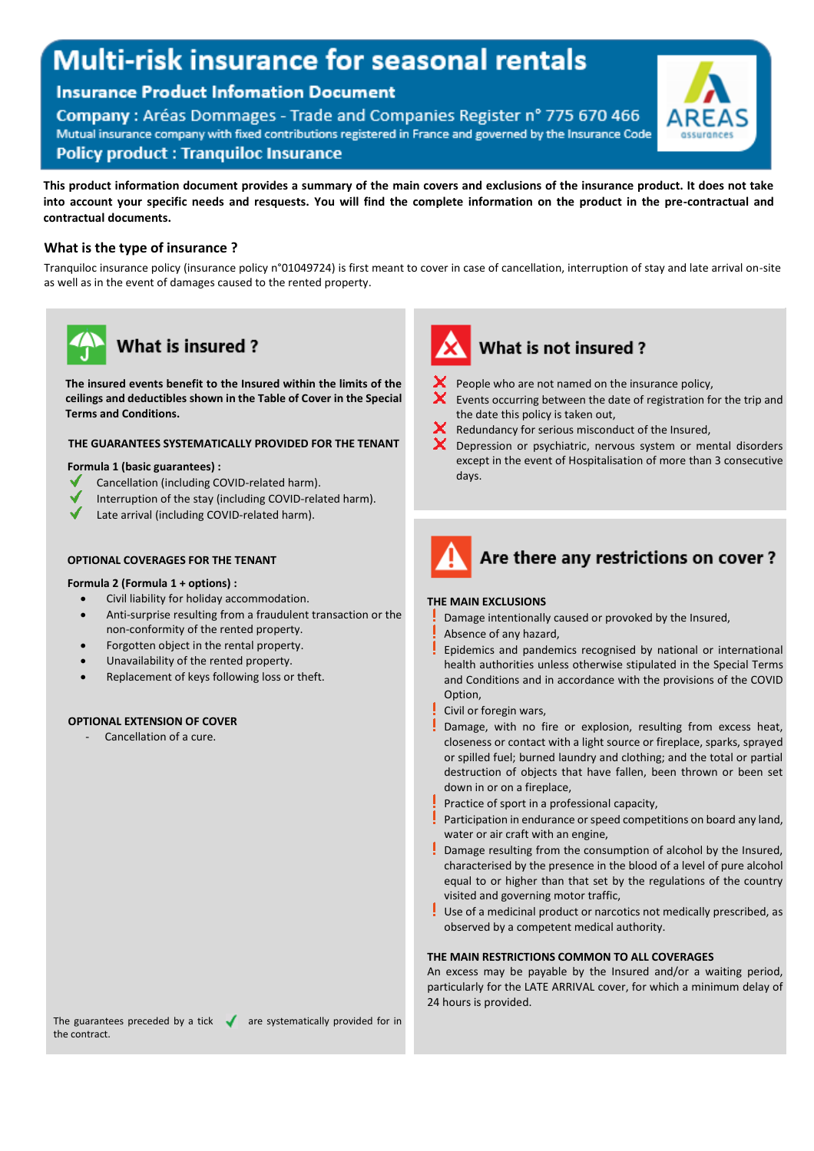# **Multi-risk insurance for seasonal rentals**

### **Insurance Product Infomation Document**

Company: Aréas Dommages - Trade and Companies Register nº 775 670 466 Mutual insurance company with fixed contributions registered in France and governed by the Insurance Code **Policy product: Tranquiloc Insurance** 



### **This product information document provides a summary of the main covers and exclusions of the insurance product. It does not take into account your specific needs and resquests. You will find the complete information on the product in the pre-contractual and contractual documents.**

### **What is the type of insurance ?**

Tranquiloc insurance policy (insurance policy n°01049724) is first meant to cover in case of cancellation, interruption of stay and late arrival on-site as well as in the event of damages caused to the rented property.



# **What is insured?**

**The insured events benefit to the Insured within the limits of the ceilings and deductibles shown in the Table of Cover in the Special Terms and Conditions.**

### **THE GUARANTEES SYSTEMATICALLY PROVIDED FOR THE TENANT**

#### **Formula 1 (basic guarantees) :**

- Cancellation (including COVID-related harm).
- Interruption of the stay (including COVID-related harm).
- Late arrival (including COVID-related harm).

### **OPTIONAL COVERAGES FOR THE TENANT**

### **Formula 2 (Formula 1 + options) :**

- Civil liability for holiday accommodation.
- Anti-surprise resulting from a fraudulent transaction or the non-conformity of the rented property.
- Forgotten object in the rental property.
- Unavailability of the rented property.
- Replacement of keys following loss or theft.

### **OPTIONAL EXTENSION OF COVER**

Cancellation of a cure.



### What is not insured?

- People who are not named on the insurance policy,
- Events occurring between the date of registration for the trip and the date this policy is taken out,
- Redundancy for serious misconduct of the Insured,
- Depression or psychiatric, nervous system or mental disorders except in the event of Hospitalisation of more than 3 consecutive days.



### **THE MAIN EXCLUSIONS**

- Damage intentionally caused or provoked by the Insured,
- Absence of any hazard,
- Epidemics and pandemics recognised by national or international health authorities unless otherwise stipulated in the Special Terms and Conditions and in accordance with the provisions of the COVID Option,
- Civil or foregin wars,
- Damage, with no fire or explosion, resulting from excess heat, closeness or contact with a light source or fireplace, sparks, sprayed or spilled fuel; burned laundry and clothing; and the total or partial destruction of objects that have fallen, been thrown or been set down in or on a fireplace,
- Practice of sport in a professional capacity,
- Participation in endurance or speed competitions on board any land, water or air craft with an engine,
- Damage resulting from the consumption of alcohol by the Insured, characterised by the presence in the blood of a level of pure alcohol equal to or higher than that set by the regulations of the country visited and governing motor traffic,
- Use of a medicinal product or narcotics not medically prescribed, as observed by a competent medical authority.

### **THE MAIN RESTRICTIONS COMMON TO ALL COVERAGES**

An excess may be payable by the Insured and/or a waiting period, particularly for the LATE ARRIVAL cover, for which a minimum delay of 24 hours is provided.

The guarantees preceded by a tick  $\bullet$  are systematically provided for in the contract.